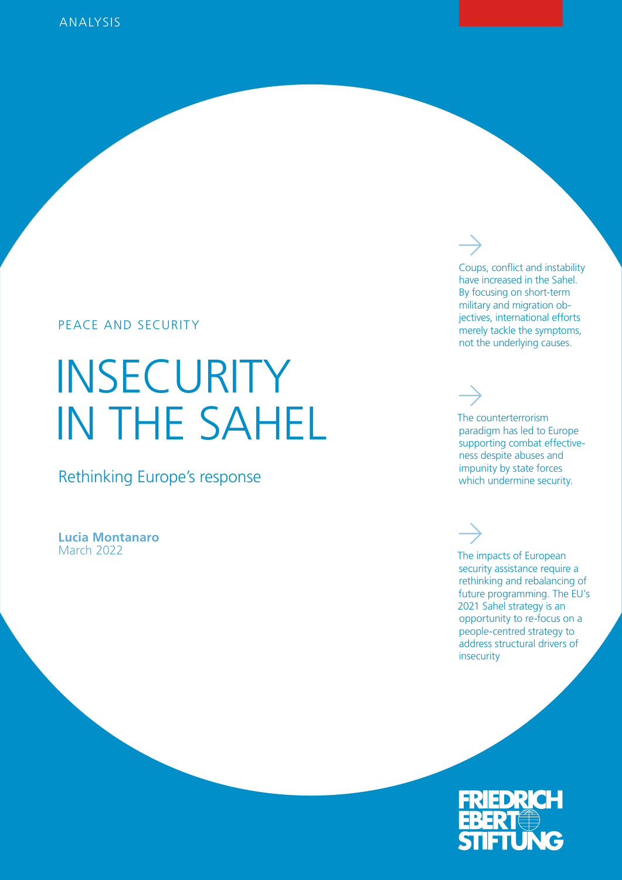## PEACE AND SECURITY

# INSECURITY IN THE SAHEL

Rethinking Europe's response

**Lucia Montanaro** March 2022

Coups, conflict and instability have increased in the Sahel. By focusing on short-term military and migration objectives, international efforts merely tackle the symptoms, not the underlying causes.

The counterterrorism paradigm has led to Europe supporting combat effectiveness despite abuses and impunity by state forces which undermine security.

The impacts of European security assistance require a rethinking and rebalancing of future programming. The EU's 2021 Sahel strategy is an opportunity to re-focus on a people-centred strategy to address structural drivers of insecurity

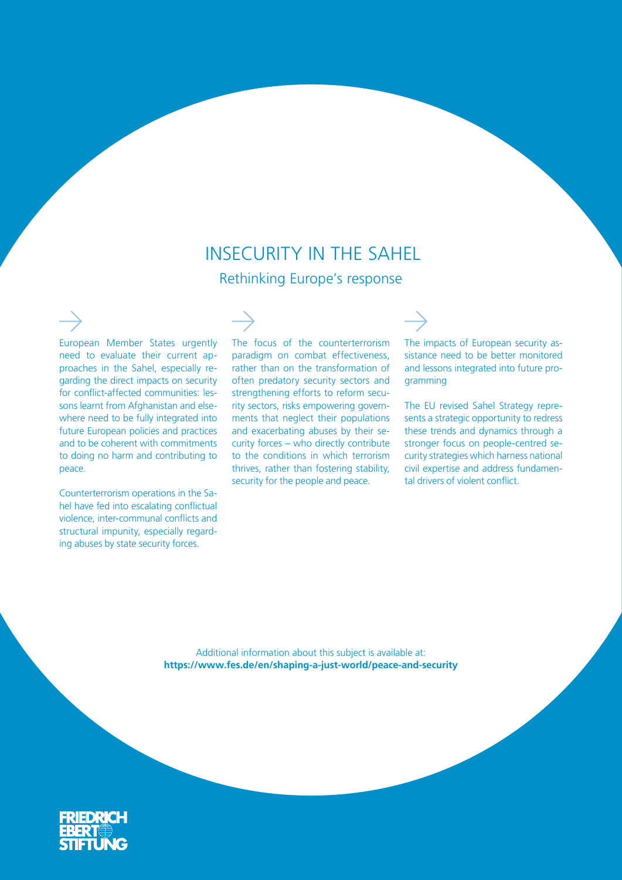## INSECURITY IN THE SAHEL Rethinking Europe's response

European Member States urgently need to evaluate their current approaches in the Sahel, especially regarding the direct impacts on security for conflict-affected communities: lessons learnt from Afghanistan and elsewhere need to be fully integrated into future European policies and practices and to be coherent with commitments to doing no harm and contributing to peace.

Counterterrorism operations in the Sahel have fed into escalating conflictual violence, inter-communal conflicts and structural impunity, especially regarding abuses by state security forces.

The focus of the counterterrorism paradigm on combat effectiveness, rather than on the transformation of often predatory security sectors and strengthening efforts to reform security sectors, risks empowering governments that neglect their populations and exacerbating abuses by their security forces – who directly contribute to the conditions in which terrorism thrives, rather than fostering stability, security for the people and peace.

The impacts of European security assistance need to be better monitored and lessons integrated into future programming

The EU revised Sahel Strategy represents a strategic opportunity to redress these trends and dynamics through a stronger focus on people-centred security strategies which harness national civil expertise and address fundamental drivers of violent conflict.

Additional information about this subject is available at: **https://www.fes.de/en/shaping-a-just-world/peace-and-security**

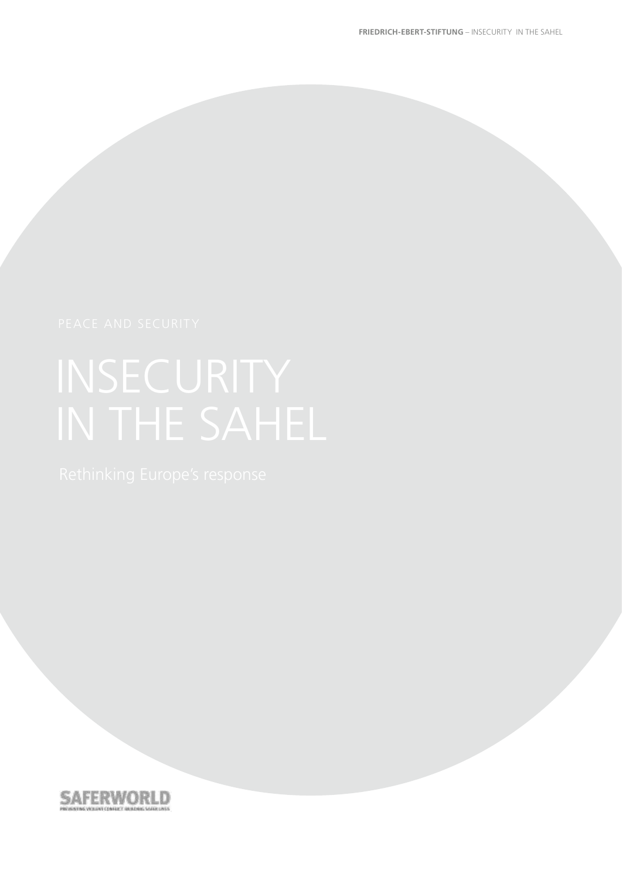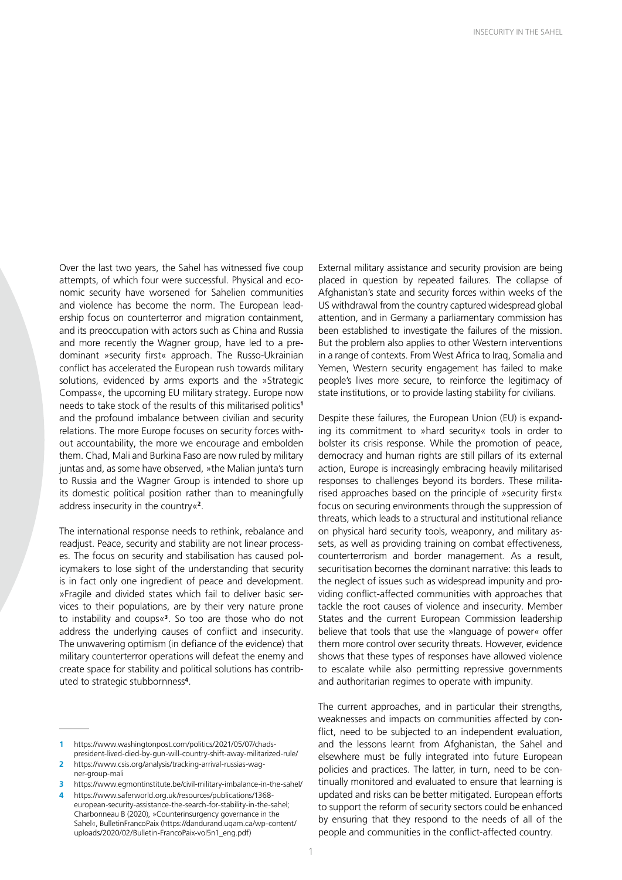Over the last two years, the Sahel has witnessed five coup attempts, of which four were successful. Physical and economic security have worsened for Sahelien communities and violence has become the norm. The European leadership focus on counterterror and migration containment, and its preoccupation with actors such as China and Russia and more recently the Wagner group, have led to a predominant »security first« approach. The Russo-Ukrainian conflict has accelerated the European rush towards military solutions, evidenced by arms exports and the »Strategic Compass«, the upcoming EU military strategy. Europe now needs to take stock of the results of this militarised politics**<sup>1</sup>** and the profound imbalance between civilian and security relations. The more Europe focuses on security forces without accountability, the more we encourage and embolden them. Chad, Mali and Burkina Faso are now ruled by military juntas and, as some have observed, »the Malian junta's turn to Russia and the Wagner Group is intended to shore up its domestic political position rather than to meaningfully address insecurity in the country«**<sup>2</sup>**.

The international response needs to rethink, rebalance and readjust. Peace, security and stability are not linear processes. The focus on security and stabilisation has caused policymakers to lose sight of the understanding that security is in fact only one ingredient of peace and development. »Fragile and divided states which fail to deliver basic services to their populations, are by their very nature prone to instability and coups«**<sup>3</sup>**. So too are those who do not address the underlying causes of conflict and insecurity. The unwavering optimism (in defiance of the evidence) that military counterterror operations will defeat the enemy and create space for stability and political solutions has contributed to strategic stubbornness**<sup>4</sup>**.

External military assistance and security provision are being placed in question by repeated failures. The collapse of Afghanistan's state and security forces within weeks of the US withdrawal from the country captured widespread global attention, and in Germany a parliamentary commission has been established to investigate the failures of the mission. But the problem also applies to other Western interventions in a range of contexts. From West Africa to Iraq, Somalia and Yemen, Western security engagement has failed to make people's lives more secure, to reinforce the legitimacy of state institutions, or to provide lasting stability for civilians.

Despite these failures, the European Union (EU) is expanding its commitment to »hard security« tools in order to bolster its crisis response. While the promotion of peace, democracy and human rights are still pillars of its external action, Europe is increasingly embracing heavily militarised responses to challenges beyond its borders. These militarised approaches based on the principle of »security first« focus on securing environments through the suppression of threats, which leads to a structural and institutional reliance on physical hard security tools, weaponry, and military assets, as well as providing training on combat effectiveness, counterterrorism and border management. As a result, securitisation becomes the dominant narrative: this leads to the neglect of issues such as widespread impunity and providing conflict-affected communities with approaches that tackle the root causes of violence and insecurity. Member States and the current European Commission leadership [believe](https://www.dw.com/en/von-der-leyen-europe-must-learn-the-language-of-power/a-51172902) that tools that use the »language of power« offer them more control over security threats. However, evidence shows that these types of responses have allowed violence to escalate while also permitting repressive governments and authoritarian regimes to operate with impunity.

The current approaches, and in particular their strengths, weaknesses and impacts on communities affected by conflict, need to be subjected to an independent evaluation, and the lessons learnt from Afghanistan, the Sahel and elsewhere must be fully integrated into future European policies and practices. The latter, in turn, need to be continually monitored and evaluated to ensure that learning is updated and risks can be better mitigated. European efforts to support the reform of security sectors could be enhanced by ensuring that they respond to the needs of all of the people and communities in the conflict-affected country.

**<sup>1</sup>** https://www.washingtonpost.com/politics/2021/05/07/chadspresident-lived-died-by-gun-will-country-shift-away-militarized-rule/

**<sup>2</sup>** [https://www.csis.org/analysis/tracking-arrival-russias-wag](https://www.csis.org/analysis/tracking-arrival-russias-wagner-group-mali)[ner-group-mali](https://www.csis.org/analysis/tracking-arrival-russias-wagner-group-mali)

**<sup>3</sup>** https://www.egmontinstitute.be/civil-military-imbalance-in-the-sahel/ **4** [https://www.saferworld.org.uk/resources/publications/1368](https://www.saferworld.org.uk/resources/publications/1368-european-security-assistance-the-search-for-stability-in-the-sahel) [european-security-assistance-the-search-for-stability-in-the-sahel](https://www.saferworld.org.uk/resources/publications/1368-european-security-assistance-the-search-for-stability-in-the-sahel); Charbonneau B (2020), »Counterinsurgency governance in the Sahel«, BulletinFrancoPaix [\(https://dandurand.uqam.ca/wp-content/](https://dandurand.uqam.ca/wp-content/uploads/2020/02/Bulletin-FrancoPaix-vol5n1_eng.pdf) [uploads/2020/02/Bulletin-FrancoPaix-vol5n1\\_eng.pdf\)](https://dandurand.uqam.ca/wp-content/uploads/2020/02/Bulletin-FrancoPaix-vol5n1_eng.pdf)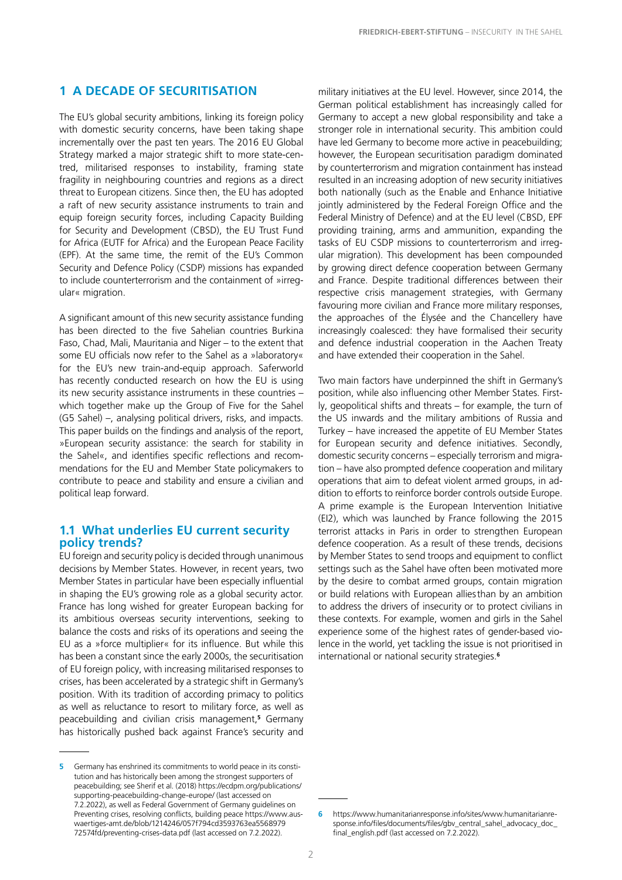## **1 A DECADE OF SECURITISATION**

The EU's global security ambitions, linking its foreign policy with domestic security concerns, have been taking shape incrementally over the past ten years. The 2016 EU [Global](https://eeas.europa.eu/archives/docs/top_stories/pdf/eugs_review_web.pdf)  [Strategy](https://eeas.europa.eu/archives/docs/top_stories/pdf/eugs_review_web.pdf) marked a major strategic shift to more state-centred, militarised responses to instability, framing state fragility in neighbouring countries and regions as a direct threat to European citizens. Since then, the EU has adopted a raft of new security assistance instruments to train and equip foreign security forces, including Capacity Building for Security and Development (CBSD), the EU Trust Fund for Africa (EUTF for Africa) and the European Peace Facility (EPF). At the same time, the remit of the EU's Common Security and Defence Policy (CSDP) missions has expanded to include counterterrorism and the containment of »irregular« migration.

A significant amount of this new security assistance funding has been directed to the five Sahelian countries Burkina Faso, Chad, Mali, Mauritania and Niger – to the extent that some EU officials now refer to the Sahel as a »laboratory« for the EU's new train-and-equip approach. Saferworld has recently conducted research on how the EU is using its new security assistance instruments in these countries – which together make up the Group of Five for the Sahel (G5 Sahel) –, analysing political drivers, risks, and impacts. This paper builds on the findings and analysis of the [report,](https://www.saferworld.org.uk/resources/publications/1368-european-security-assistance-the-search-for-stability-in-the-sahel) »European security assistance: the search for stability in the Sahel«, and identifies specific reflections and recommendations for the EU and Member State policymakers to contribute to peace and stability and ensure a civilian and political leap forward.

### **1.1 What underlies EU current security policy trends?**

EU foreign and security policy is decided through unanimous decisions by Member States. However, in recent years, two Member States in particular have been especially influential in shaping the EU's growing role as a global security actor. France has long wished for greater European backing for its ambitious overseas security interventions, seeking to balance the costs and risks of its operations and seeing the EU as a »force multiplier« for its influence. But while this has been a constant since the early 2000s, the securitisation of EU foreign policy, with increasing militarised responses to crises, has been accelerated by a strategic shift in Germany's position. With its tradition of according primacy to politics as well as reluctance to resort to military force, as well as peacebuilding and civilian crisis management,**<sup>5</sup>** Germany has historically pushed back against France's security and

military initiatives at the EU level. However, since 2014, the German political establishment has increasingly called for Germany to accept a new global responsibility and take a stronger role in international security. This ambition could have led Germany to become more active in peacebuilding; however, the European securitisation paradigm dominated by counterterrorism and migration containment has instead resulted in an increasing adoption of new security initiatives both nationally (such as the [Enable and Enhance Initiative](https://www.baks.bund.de/en/working-papers/2016/germanys-enable-enhance-initiative-what-is-it-about)  jointly administered by the Federal Foreign Office and the Federal Ministry of Defence) and at the EU level ([CBSD,](file://C:\Users\Louisa\AppData\Local\Microsoft\Windows\INetCache\Content.Outlook\ZAOUZH8E\REGULATION%20(EU)%202017\%202306%20OF%20THE%20EUROPEAN%20PARLIAMENT%20AND%20OF%20THE%20COUNCIL%20-%20of%2012%20December%202017%20-%20amending%20Regulation%20(EU)%20No%20230%20\%202014%20establishing%20an%20instrument%20contributing%20to%20stability%20and%20peace%20(europa.eu)) [EPF](https://eur-lex.europa.eu/legal-content/EN/TXT/?uri=CELEX:32021D0509)  providing training, arms and ammunition, [expanding the](https://euobserver.com/opinion/143425)  [tasks of EU CSDP missions to counterterrorism and irreg](https://euobserver.com/opinion/143425)[ular migration\)](https://euobserver.com/opinion/143425). This development has been compounded by growing direct defence cooperation between Germany and France. Despite traditional differences between their respective crisis management strategies, with Germany favouring more civilian and France more military responses, the approaches of the Élysée and the Chancellery have increasingly coalesced: they have formalised their security and defence industrial cooperation in the [Aachen Treaty](https://www.auswaertiges-amt.de/blob/2179780/ccd486958222bd5a490d42c57dd7ed03/190118-download-aachenervertrag-data.pdf)  and have extended their cooperation in the Sahel.

Two main factors have underpinned the shift in Germany's position, while also influencing other Member States. Firstly, geopolitical shifts and threats – for example, the turn of the US inwards and the military ambitions of Russia and Turkey – have increased the appetite of EU Member States for European security and defence initiatives. Secondly, domestic security concerns – especially terrorism and migration – have also prompted defence cooperation and military operations that aim to defeat violent armed groups, in addition to efforts to reinforce border controls outside Europe. A prime example is the European Intervention Initiative (EI2), which was launched by France following the 2015 terrorist attacks in Paris in order to strengthen European defence cooperation. As a result of these trends, decisions by Member States to send troops and equipment to conflict settings such as the Sahel have often been motivated more by the desire to combat armed groups, contain migration or build relations with European alliesthan by an ambition to address the drivers of insecurity or to protect civilians in these contexts. For example, women and girls in the Sahel experience some of the highest rates of gender-based violence in the world, yet tackling the issue is not prioritised in international or national security strategies.**<sup>6</sup>**

**<sup>5</sup>** Germany has enshrined its commitments to world peace in its constitution and has historically been among the strongest supporters of peacebuilding; see Sherif et al. (2018) [https://ecdpm.org/publications/](https://ecdpm.org/publications/supporting-peacebuilding-change-europe/) [supporting-peacebuilding-change-europe/](https://ecdpm.org/publications/supporting-peacebuilding-change-europe/) (last accessed on 7.2.2022), as well as Federal Government of Germany guidelines on Preventing crises, resolving conflicts, building peace [https://www.aus](https://www.auswaertiges-amt.de/blob/1214246/057f794cd3593763ea556897972574fd/preventing-crises-data.pdf)[waertiges-amt.de/blob/1214246/057f794cd3593763ea5568979](https://www.auswaertiges-amt.de/blob/1214246/057f794cd3593763ea556897972574fd/preventing-crises-data.pdf) [72574fd/preventing-crises-data.pdf](https://www.auswaertiges-amt.de/blob/1214246/057f794cd3593763ea556897972574fd/preventing-crises-data.pdf) (last accessed on 7.2.2022).

**<sup>6</sup>** [https://www.humanitarianresponse.info/sites/www.humanitarianre](https://www.humanitarianresponse.info/sites/www.humanitarianresponse.info/files/documents/files/gbv_central_sahel_advocacy_doc_final_english.pdf)[sponse.info/files/documents/files/gbv\\_central\\_sahel\\_advocacy\\_doc\\_](https://www.humanitarianresponse.info/sites/www.humanitarianresponse.info/files/documents/files/gbv_central_sahel_advocacy_doc_final_english.pdf) [final\\_english.pdf](https://www.humanitarianresponse.info/sites/www.humanitarianresponse.info/files/documents/files/gbv_central_sahel_advocacy_doc_final_english.pdf) (last accessed on 7.2.2022).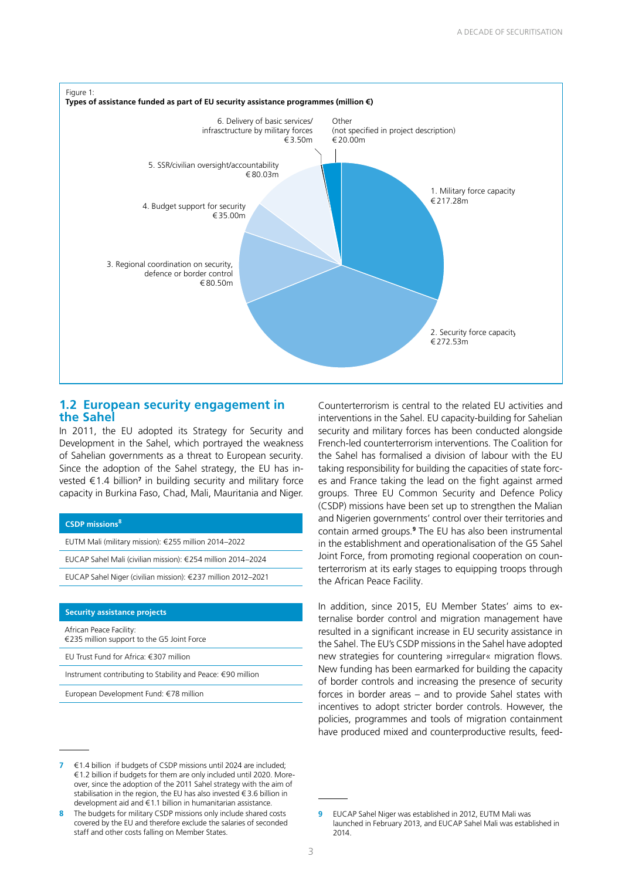

## **1.2 European security engagement in the Sahel**

In 2011, the EU adopted its [Strategy for Security and](https://data.consilium.europa.eu/doc/document/ST-7569-2011-INIT/en/pdf)  [Development in the Sahel](https://data.consilium.europa.eu/doc/document/ST-7569-2011-INIT/en/pdf), which portrayed the weakness of Sahelian governments as a threat to European security. Since the adoption of the Sahel strategy, the EU has invested €1.4 billion**<sup>7</sup>** in building security and military force capacity in Burkina Faso, Chad, Mali, Mauritania and Niger.

#### **CSDP missions<sup>8</sup>**

EUTM Mali (military mission): €255 million 2014–2022

EUCAP Sahel Mali (civilian mission): €254 million 2014–2024

EUCAP Sahel Niger (civilian mission): €237 million 2012–2021

#### **Security assistance projects**

African Peace Facility: €235 million support to the G5 Joint Force

EU Trust Fund for Africa: €307 million

Instrument contributing to Stability and Peace: €90 million

European Development Fund: €78 million

**7** €1.4 billion if budgets of CSDP missions until 2024 are included; € 1.2 billion if budgets for them are only included until 2020. Moreover, since the adoption of the 2011 Sahel strategy with the aim of stabilisation in the region, the EU has also invested  $\epsilon$  3.6 billion in development aid and €1.1 billion in humanitarian assistance.

**8** The budgets for military CSDP missions only include shared costs covered by the EU and therefore exclude the salaries of seconded staff and other costs falling on Member States.

Counterterrorism is central to the related EU activities and interventions in the Sahel. EU capacity-building for Sahelian security and military forces has been conducted alongside French-led counterterrorism interventions. The [Coalition for](https://www.diplomatie.gouv.fr/en/french-foreign-policy/security-disarmament-and-non-proliferation/terrorism-france-s-international-action/article/the-international-coalition-for-the-sahel)  [the Sahel](https://www.diplomatie.gouv.fr/en/french-foreign-policy/security-disarmament-and-non-proliferation/terrorism-france-s-international-action/article/the-international-coalition-for-the-sahel) has formalised a division of labour with the EU taking responsibility for building the capacities of state forces and France taking the lead on the fight against armed groups. Three EU Common Security and Defence Policy (CSDP) missions have been set up to strengthen the Malian and Nigerien governments' control over their territories and contain armed groups.**<sup>9</sup>** The EU has also been instrumental in the establishment and operationalisation of the G5 Sahel Joint Force, from promoting regional cooperation on counterterrorism at its early stages to equipping troops through the African Peace Facility.

In addition, since 2015, EU Member States' aims to externalise border control and migration management have resulted in a significant increase in EU security assistance in the Sahel. The EU's CSDP missions in the Sahel have adopted new strategies for countering »irregular« migration flows. New funding has been earmarked for building the capacity of border controls and increasing the presence of security forces in border areas – and to provide Sahel states with incentives to adopt stricter border controls. However, the policies, programmes and tools of migration containment have produced mixed and counterproductive results, feed-

**<sup>9</sup>** EUCAP Sahel Niger was established in 2012, EUTM Mali was launched in February 2013, and EUCAP Sahel Mali was established in 2014.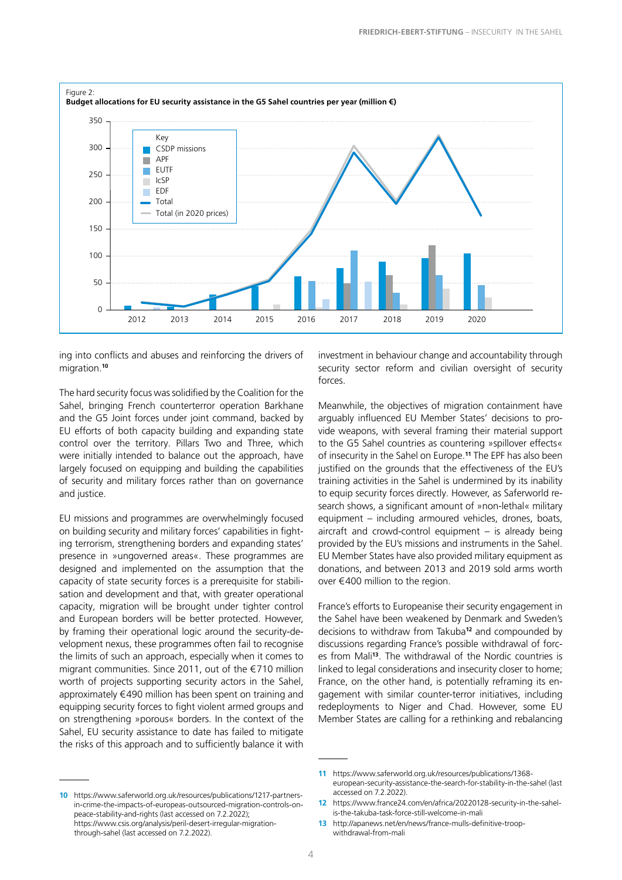

ing into conflicts and abuses and reinforcing the drivers of migration.**<sup>10</sup>**

The hard security focus was solidified by the Coalition for the Sahel, bringing French counterterror operation Barkhane and the G5 Joint forces under joint command, backed by EU efforts of both capacity building and expanding state control over the territory. Pillars Two and Three, which were initially intended to balance out the approach, have largely focused on equipping and building the capabilities of security and military forces rather than on governance and justice.

EU missions and programmes are overwhelmingly focused on building security and military forces' capabilities in fighting terrorism, strengthening borders and expanding states' presence in »ungoverned areas«. These programmes are designed and implemented on the assumption that the capacity of state security forces is a prerequisite for stabilisation and development and that, with greater operational capacity, migration will be brought under tighter control and European borders will be better protected. However, by framing their operational logic around the security-development nexus, these programmes often fail to recognise the limits of such an approach, especially when it comes to migrant communities. Since 2011, out of the €710 million worth of projects supporting security actors in the Sahel, approximately €490 million has been spent on training and equipping security forces to fight violent armed groups and on strengthening »porous« borders. In the context of the Sahel, EU security assistance to date has failed to mitigate the risks of this approach and to sufficiently balance it with

investment in behaviour change and accountability through security sector reform and civilian oversight of security forces.

Meanwhile, the objectives of migration containment have arguably influenced EU Member States' decisions to provide weapons, with several framing their material support to the G5 Sahel countries as countering »spillover effects« of insecurity in the Sahel on Europe.**<sup>11</sup>** The EPF has also been justified on the grounds that the effectiveness of the EU's training activities in the Sahel is undermined by its inability to equip security forces directly. However, as Saferworld research shows, a significant amount of »non-lethal« military equipment – including armoured vehicles, drones, boats, aircraft and crowd-control equipment – is already being provided by the EU's missions and instruments in the Sahel. EU Member States have also provided military equipment as donations, and between 2013 and 2019 sold arms worth over €400 million to the region.

France's efforts to Europeanise their security engagement in the Sahel have been weakened by Denmark and Sweden's decisions to withdraw from Takuba**<sup>12</sup>** and compounded by discussions regarding France's possible withdrawal of forces from Mali**<sup>13</sup>**. The withdrawal of the Nordic countries is linked to legal considerations and insecurity closer to home; France, on the other hand, is potentially reframing its engagement with similar counter-terror initiatives, including redeployments to Niger and Chad. However, some EU Member States are calling for a rethinking and rebalancing

**<sup>10</sup>** [https://www.saferworld.org.uk/resources/publications/1217-partners](https://www.saferworld.org.uk/resources/publications/1217-partners-in-crime-the-impacts-of-europeas-outsourced-migration-controls-on-peace-stability-and-rights)[in-crime-the-impacts-of-europeas-outsourced-migration-controls-on](https://www.saferworld.org.uk/resources/publications/1217-partners-in-crime-the-impacts-of-europeas-outsourced-migration-controls-on-peace-stability-and-rights)[peace-stability-and-rights](https://www.saferworld.org.uk/resources/publications/1217-partners-in-crime-the-impacts-of-europeas-outsourced-migration-controls-on-peace-stability-and-rights) (last accessed on 7.2.2022); [https://www.csis.org/analysis/peril-desert-irregular-migration](https://www.csis.org/analysis/peril-desert-irregular-migration-through-sahel)[through-sahel](https://www.csis.org/analysis/peril-desert-irregular-migration-through-sahel) (last accessed on 7.2.2022).

**<sup>11</sup>** [https://www.saferworld.org.uk/resources/publications/1368](https://www.saferworld.org.uk/resources/publications/1368-european-security-assistance-the-search-for-stability-in-the-sahel) [european-security-assistance-the-search-for-stability-in-the-sahel](https://www.saferworld.org.uk/resources/publications/1368-european-security-assistance-the-search-for-stability-in-the-sahel) (last accessed on 7.2.2022).

**<sup>12</sup>** https://www.france24.com/en/africa/20220128-security-in-the-sahelis-the-takuba-task-force-still-welcome-in-mali

**<sup>13</sup>** http://apanews.net/en/news/france-mulls-definitive-troopwithdrawal-from-mali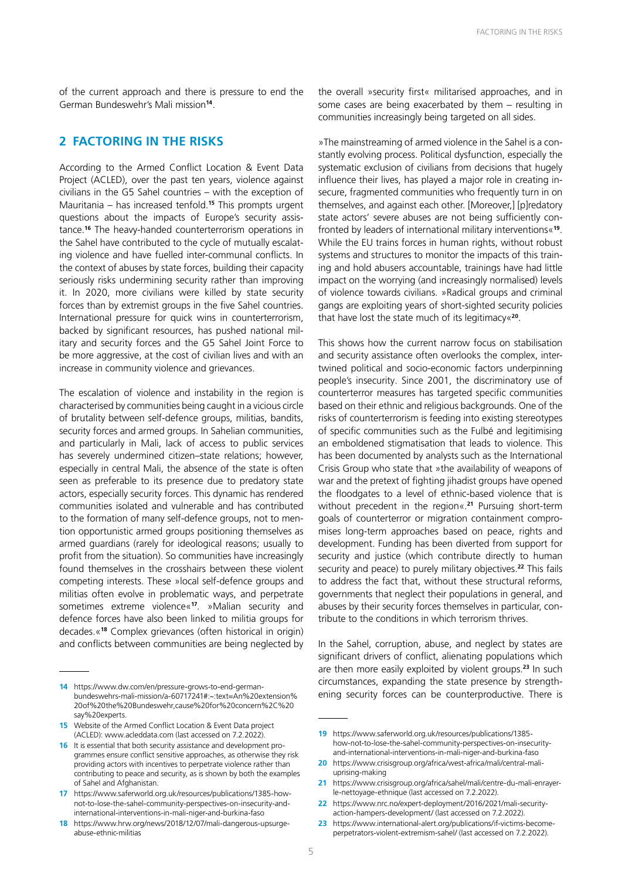of the current approach and there is pressure to end the German Bundeswehr's Mali mission**<sup>14</sup>**.

### **2 FACTORING IN THE RISKS**

According to the Armed Conflict Location & Event Data Project (ACLED), over the past ten years, violence against civilians in the G5 Sahel countries – with the exception of Mauritania – has increased tenfold.**<sup>15</sup>** This prompts urgent questions about the impacts of Europe's security assistance.**<sup>16</sup>** The heavy-handed counterterrorism operations in the Sahel have contributed to the cycle of mutually escalating violence and have fuelled inter-communal conflicts. In the context of abuses by state forces, building their capacity seriously risks undermining security rather than improving it. In 2020,  [more civilians were killed](https://www.fidh.org/en/region/Africa/mali/the-sahel-in-2020-more-civilians-were-killed-by-the-security-forces) by state security forces than by extremist groups in the five Sahel countries. International pressure for quick wins in counterterrorism, backed by significant resources, [has pushed](https://acleddata.com/2020/05/20/state-atrocities-in-the-sahel-the-impetus-for-counter-insurgency-results-is-fueling-government-attacks-on-civilians/?s=09) national military and security forces and the G5 Sahel Joint Force to be more aggressive, at the cost of civilian lives and with an increase in community violence and grievances.

The escalation of violence and instability in the region is characterised by communities being caught in a vicious circle of brutality between self-defence groups, militias, bandits, security forces and armed groups. In Sahelian communities, and particularly in Mali, lack of access to public services has severely undermined citizen–state relations; however, especially in central Mali, the absence of the state is often seen as preferable to its presence due to predatory state actors, especially security forces. This dynamic has rendered communities isolated and vulnerable and has contributed to the formation of many self-defence groups, not to mention opportunistic armed groups positioning themselves as armed guardians (rarely for ideological reasons; usually to profit from the situation). So communities have increasingly found themselves in the crosshairs between these violent competing interests. These »local self-defence groups and militias often evolve in problematic ways, and perpetrate sometimes extreme violence«**<sup>17</sup>**. »Malian security and defence forces have also been linked to militia groups for decades.«**<sup>18</sup>** Complex grievances (often historical in origin) and conflicts between communities are being neglected by

**14** https://www.dw.com/en/pressure-grows-to-end-germanbundeswehrs-mali-mission/a-60717241#:~:text=An%20extension% 20of%20the%20Bundeswehr,cause%20for%20concern%2C%20 say%20experts.

the overall »security first« militarised approaches, and in some cases are being exacerbated by them – resulting in communities increasingly being targeted on all sides.

»The mainstreaming of armed violence in the Sahel is a constantly evolving process. Political dysfunction, especially the systematic exclusion of civilians from decisions that hugely influence their lives, has played a major role in creating insecure, fragmented communities who frequently turn in on themselves, and against each other. [Moreover,] [p]redatory state actors' severe abuses are not being sufficiently confronted by leaders of international military interventions«**<sup>19</sup>**. While the EU trains forces in human rights, without robust systems and structures to monitor the impacts of this training and hold abusers accountable, trainings have had little impact on the worrying (and increasingly normalised) levels of violence towards civilians. »Radical groups and criminal gangs are exploiting years of short-sighted security policies that have lost the state much of its legitimacy«**<sup>20</sup>**.

This shows how the current narrow focus on stabilisation and security assistance often overlooks the complex, intertwined political and socio-economic factors underpinning people's insecurity. Since 2001, the discriminatory use of counterterror measures has targeted specific communities based on their ethnic and religious backgrounds. One of the risks of counterterrorism is feeding into existing stereotypes of specific communities such as the Fulbé and legitimising an emboldened stigmatisation that leads to violence. This has been documented by analysts such as the International Crisis Group who state that »the availability of weapons of war and the pretext of fighting jihadist groups have opened the floodgates to a level of ethnic-based violence that is without precedent in the region«.**<sup>21</sup>** Pursuing short-term goals of counterterror or migration containment compromises long-term approaches based on peace, rights and development. Funding has been diverted from support for security and justice (which contribute directly to human security and peace) to purely military objectives.**<sup>22</sup>** This fails to address the fact that, without these structural reforms, governments that neglect their populations in general, and abuses by their security forces themselves in particular, contribute to the conditions in which terrorism thrives.

In the Sahel, corruption, abuse, and neglect by states are significant drivers of conflict, alienating populations which are then more easily exploited by violent groups.**<sup>23</sup>** In such circumstances, expanding the state presence by strengthening security forces can be counterproductive. There is

**<sup>15</sup>** Website of the Armed Conflict Location & Event Data project (ACLED): [www.acleddata.com](http://www.acleddata.com) (last accessed on 7.2.2022).

**<sup>16</sup>** It is essential that both security assistance and development programmes ensure conflict sensitive approaches, as otherwise they risk providing actors with incentives to perpetrate violence rather than contributing to peace and security, as is shown by both the examples of Sahel and Afghanistan.

**<sup>17</sup>** https://www.saferworld.org.uk/resources/publications/1385-hownot-to-lose-the-sahel-community-perspectives-on-insecurity-andinternational-interventions-in-mali-niger-and-burkina-faso

**<sup>18</sup>** [https://www.hrw.org/news/2018/12/07/mali-dangerous-upsurge](https://www.hrw.org/news/2018/12/07/mali-dangerous-upsurge-abuse-ethnic-militias)[abuse-ethnic-militias](https://www.hrw.org/news/2018/12/07/mali-dangerous-upsurge-abuse-ethnic-militias)

**<sup>19</sup>** https://www.saferworld.org.uk/resources/publications/1385 how-not-to-lose-the-sahel-community-perspectives-on-insecurityand-international-interventions-in-mali-niger-and-burkina-faso

**<sup>20</sup>** [https://www.crisisgroup.org/africa/west-africa/mali/central-mali](https://www.crisisgroup.org/africa/west-africa/mali/central-mali-uprising-making)[uprising-making](https://www.crisisgroup.org/africa/west-africa/mali/central-mali-uprising-making)

**<sup>21</sup>** [https://www.crisisgroup.org/africa/sahel/mali/centre-du-mali-enrayer](https://www.crisisgroup.org/africa/sahel/mali/centre-du-mali-enrayer-le-nettoyage-ethnique)[le-nettoyage-ethnique](https://www.crisisgroup.org/africa/sahel/mali/centre-du-mali-enrayer-le-nettoyage-ethnique) (last accessed on 7.2.2022).

**<sup>22</sup>** [https://www.nrc.no/expert-deployment/2016/2021/mali-security](https://www.nrc.no/expert-deployment/2016/2021/mali-security-action-hampers-development/)[action-hampers-development/](https://www.nrc.no/expert-deployment/2016/2021/mali-security-action-hampers-development/) (last accessed on 7.2.2022).

**<sup>23</sup>** [https://www.international-alert.org/publications/if-victims-become](https://www.international-alert.org/publications/if-victims-become-perpetrators-violent-extremism-sahel/)[perpetrators-violent-extremism-sahel/](https://www.international-alert.org/publications/if-victims-become-perpetrators-violent-extremism-sahel/) (last accessed on 7.2.2022).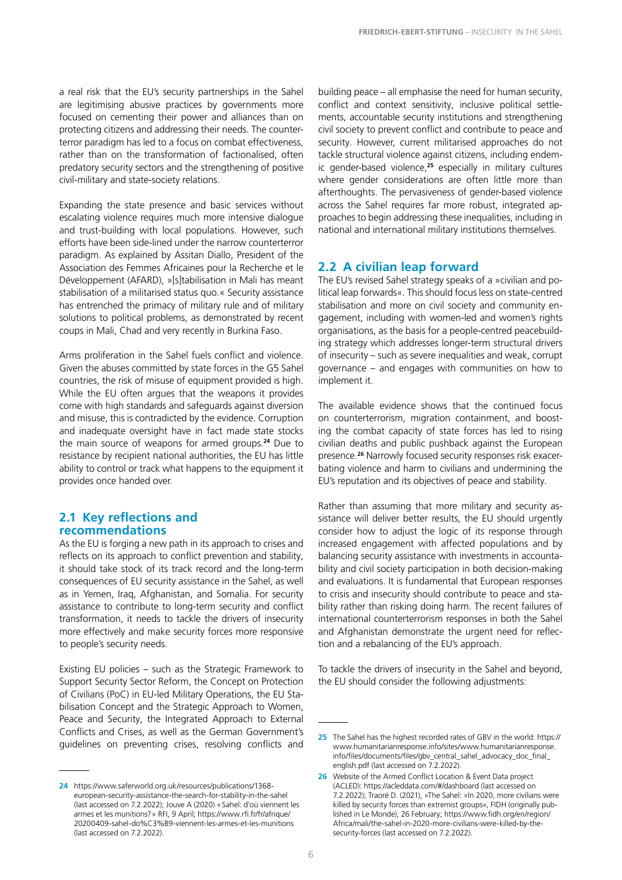a real risk that the EU's security partnerships in the Sahel are legitimising abusive practices by governments more focused on cementing their power and alliances than on protecting citizens and addressing their needs. The counterterror paradigm has led to a focus on combat effectiveness, rather than on the transformation of factionalised, often predatory security sectors and the strengthening of positive civil-military and state-society relations.

Expanding the state presence and basic services without escalating violence requires much more intensive dialogue and trust-building with local populations. However, such efforts have been side-lined under the narrow counterterror paradigm. As explained by Assitan Diallo, President of the Association des Femmes Africaines pour la Recherche et le Développement (AFARD), »[s]tabilisation in Mali has meant stabilisation of a militarised status quo.« Security assistance has entrenched the primacy of military rule and of military solutions to political problems, as demonstrated by recent coups in Mali, Chad and very recently in Burkina Faso.

Arms proliferation in the Sahel fuels conflict and violence. Given the abuses committed by state forces in the G5 Sahel countries, the risk of misuse of equipment provided is high. While the EU often argues that the weapons it provides come with high standards and safeguards against diversion and misuse, this is contradicted by the evidence. Corruption and inadequate oversight have in fact made state stocks the main source of weapons for armed groups.**<sup>24</sup>** Due to resistance by recipient national authorities, the EU has little ability to control or track what happens to the equipment it provides once handed over.

#### **2.1 Key reflections and recommendations**

As the EU is forging a new path in its approach to crises and reflects on its approach to conflict prevention and stability, it should take stock of its track record and the long-term consequences of EU security assistance in the Sahel, as well as in Yemen, Iraq, Afghanistan, and Somalia. For security assistance to contribute to long-term security and conflict transformation, it needs to tackle the drivers of insecurity more effectively and make security forces more responsive to people's security needs.

Existing EU policies – such as the [Strategic Framework to](https://eur-lex.europa.eu/legal-content/EN/TXT/?uri=CELEX%3A52016JC0031)  [Support Security Sector Reform,](https://eur-lex.europa.eu/legal-content/EN/TXT/?uri=CELEX%3A52016JC0031) the [Concept on Protection](https://data.consilium.europa.eu/doc/document/ST-6730-2015-INIT/en/pdf)  [of Civilians](https://data.consilium.europa.eu/doc/document/ST-6730-2015-INIT/en/pdf) (PoC) in EU-led Military Operations, the [EU Sta](https://data.consilium.europa.eu/doc/document/ST-15622-2017-INIT/en/pdf))[bilisation Concept](https://data.consilium.europa.eu/doc/document/ST-15622-2017-INIT/en/pdf)) and the [Strategic Approach to Women,](https://www.consilium.europa.eu/media/37412/st15086-en18.pdf)  [Peace and Security](https://www.consilium.europa.eu/media/37412/st15086-en18.pdf), the [Integrated Approach to External](https://data.consilium.europa.eu/doc/document/ST-5413-2018-INIT/en/pdf)  [Conflicts and Crises](https://data.consilium.europa.eu/doc/document/ST-5413-2018-INIT/en/pdf), as well as the German Government's guidelines on preventing crises, resolving conflicts and

building peace – all emphasise the need for human security, conflict and context sensitivity, inclusive political settlements, accountable security institutions and strengthening civil society to prevent conflict and contribute to peace and security. However, current militarised approaches do not tackle structural violence against citizens, including endemic gender-based violence,**<sup>25</sup>** especially in military cultures where gender considerations are often little more than afterthoughts. The pervasiveness of gender-based violence across the Sahel requires far more robust, integrated approaches to begin addressing these inequalities, including in national and international military institutions themselves.

#### **2.2 A civilian leap forward**

The EU's revised Sahel strategy speaks of a »civilian and political leap forwards«. This should focus less on state-centred stabilisation and more on civil society and community engagement, including with women-led and women's rights organisations, as the basis for a people-centred peacebuilding strategy which addresses longer-term structural drivers of insecurity – such as severe inequalities and weak, corrupt governance – and engages with communities on how to implement it.

The available evidence shows that the continued focus on counterterrorism, migration containment, and boosting the combat capacity of state forces has led to rising civilian deaths and public pushback against the European presence.**26** Narrowly focused security responses risk exacerbating violence and harm to civilians and undermining the EU's reputation and its objectives of peace and stability.

Rather than assuming that more military and security assistance will deliver better results, the EU should urgently consider how to adjust the logic of its response through increased engagement with affected populations and by balancing security assistance with investments in accountability and civil society participation in both decision-making and evaluations. It is fundamental that European responses to crisis and insecurity should contribute to peace and stability rather than risking doing harm. The recent failures of international counterterrorism responses in both the Sahel and Afghanistan demonstrate the urgent need for reflection and a rebalancing of the EU's approach.

To tackle the drivers of insecurity in the Sahel and beyond, the EU should consider the following adjustments:

**<sup>24</sup>** [https://www.saferworld.org.uk/resources/publications/1368](https://www.saferworld.org.uk/resources/publications/1368-european-security-assistance-the-search-for-stability-in-the-sahel) [european-security-assistance-the-search-for-stability-in-the-sahel](https://www.saferworld.org.uk/resources/publications/1368-european-security-assistance-the-search-for-stability-in-the-sahel) (last accessed on 7.2.2022); Jouve A (2020) «Sahel: d'où viennent les armes et les munitions?» RFI, 9 April; [https://www.rfi.fr/fr/afrique/](https://www.rfi.fr/fr/afrique/20200409-sahel-do%C3%B9-viennent-les-armes-et-les-munitions) [20200409-sahel-do%C3%B9-viennent-les-armes-et-les-munitions](https://www.rfi.fr/fr/afrique/20200409-sahel-do%C3%B9-viennent-les-armes-et-les-munitions) (last accessed on 7.2.2022).

**<sup>25</sup>** The Sahel has the highest recorded rates of GBV in the world: [https://](https://www.humanitarianresponse.info/sites/www.humanitarianresponse.info/files/documents/files/gbv_central_sahel_advocacy_doc_final_english.pdf) [www.humanitarianresponse.info/sites/www.humanitarianresponse.](https://www.humanitarianresponse.info/sites/www.humanitarianresponse.info/files/documents/files/gbv_central_sahel_advocacy_doc_final_english.pdf) [info/files/documents/files/gbv\\_central\\_sahel\\_advocacy\\_doc\\_final\\_](https://www.humanitarianresponse.info/sites/www.humanitarianresponse.info/files/documents/files/gbv_central_sahel_advocacy_doc_final_english.pdf) [english.pdf](https://www.humanitarianresponse.info/sites/www.humanitarianresponse.info/files/documents/files/gbv_central_sahel_advocacy_doc_final_english.pdf) (last accessed on 7.2.2022).

**<sup>26</sup>** Website of the Armed Conflict Location & Event Data project (ACLED): https://acleddata.com/#/dashboard (last accessed on 7.2.2022); Traoré D. (2021), »The Sahel: »In 2020, more civilians were killed by security forces than extremist groups«, FIDH (originally published in Le Monde), 26 February; https://www.fidh.org/en/region/ Africa/mali/the-sahel-in-2020-more-civilians-were-killed-by-thesecurity-forces (last accessed on 7.2.2022).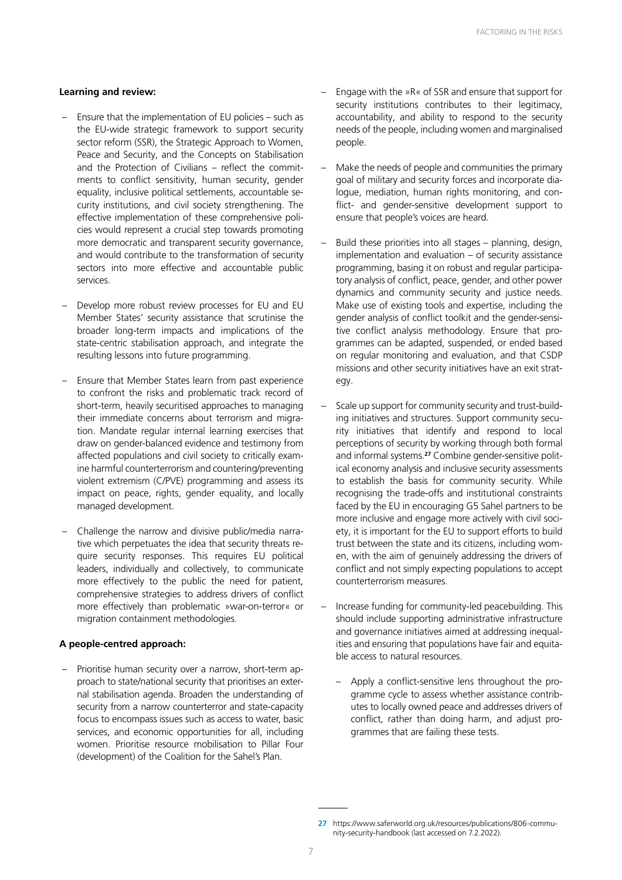#### **Learning and review:**

- Ensure that the implementation of EU policies such as the EU-wide strategic framework to support security sector reform (SSR), the Strategic Approach to Women, Peace and Security, and the Concepts on Stabilisation and the Protection of Civilians – reflect the commitments to conflict sensitivity, human security, gender equality, inclusive political settlements, accountable security institutions, and civil society strengthening. The effective implementation of these comprehensive policies would represent a crucial step towards promoting more democratic and transparent security governance, and would contribute to the transformation of security sectors into more effective and accountable public services.
- Develop more robust review processes for EU and EU Member States' security assistance that scrutinise the broader long-term impacts and implications of the state-centric stabilisation approach, and integrate the resulting lessons into future programming.
- Ensure that Member States learn from past experience to confront the risks and problematic track record of short-term, heavily securitised approaches to managing their immediate concerns about terrorism and migration. Mandate regular internal learning exercises that draw on gender-balanced evidence and testimony from affected populations and civil society to critically examine harmful counterterrorism and countering/preventing violent extremism (C/PVE) programming and assess its impact on peace, rights, gender equality, and locally managed development.
- Challenge the narrow and divisive public/media narrative which perpetuates the idea that security threats require security responses. This requires EU political leaders, individually and collectively, to communicate more effectively to the public the need for patient, comprehensive strategies to address drivers of conflict more effectively than problematic »war-on-terror« or migration containment methodologies.

#### **A people-centred approach:**

– Prioritise human security over a narrow, short-term approach to state/national security that prioritises an external stabilisation agenda. Broaden the understanding of security from a narrow counterterror and state-capacity focus to encompass issues such as access to water, basic services, and economic opportunities for all, including women. Prioritise resource mobilisation to Pillar Four (development) of the Coalition for the Sahel's Plan.

- Engage with the »R« of SSR and ensure that support for security institutions contributes to their legitimacy, accountability, and ability to respond to the security needs of the people, including women and marginalised people.
- Make the needs of people and communities the primary goal of military and security forces and incorporate dialogue, mediation, human rights monitoring, and conflict- and gender-sensitive development support to ensure that people's voices are heard.
- Build these priorities into all stages planning, design, implementation and evaluation – of security assistance programming, basing it on robust and regular participatory analysis of conflict, peace, gender, and other power dynamics and community security and justice needs. Make use of existing tools and expertise, including the [gender analysis of conflict toolkit](https://www.saferworld.org.uk/resources/publications/1076-gender-analysis-of-conflict) an[d the gender-sensi](https://www.saferworld.org.uk/resources/publications/1284-gender-sensitive-conflict-analysis-a-facilitation-guide)[tive conflict analysis methodology.](https://www.saferworld.org.uk/resources/publications/1284-gender-sensitive-conflict-analysis-a-facilitation-guide) Ensure that programmes can be adapted, suspended, or ended based on regular monitoring and evaluation, and that CSDP missions and other security initiatives have an exit strategy.
- Scale up support for community security and trust-building initiatives and structures. Support community security initiatives that identify and respond to local perceptions of security by working through both formal and informal systems.**27** Combine gender-sensitive political economy analysis and inclusive security assessments to establish the basis for community security. While recognising the trade-offs and institutional constraints faced by the EU in encouraging G5 Sahel partners to be more inclusive and engage more actively with civil society, it is important for the EU to support efforts to build trust between the state and its citizens, including women, with the aim of genuinely addressing the drivers of conflict and not simply expecting populations to accept counterterrorism measures.
- Increase funding for community-led peacebuilding. This should include supporting administrative infrastructure and governance initiatives aimed at addressing inequalities and ensuring that populations have fair and equitable access to natural resources.
	- Apply a conflict-sensitive lens throughout the programme cycle to assess whether assistance contributes to locally owned peace and addresses drivers of conflict, rather than doing harm, and adjust programmes that are failing these tests.

**<sup>27</sup>** [https://www.saferworld.org.uk/resources/publications/806-commu](https://www.saferworld.org.uk/resources/publications/806-community-security-handbook)[nity-security-handbook](https://www.saferworld.org.uk/resources/publications/806-community-security-handbook) (last accessed on 7.2.2022).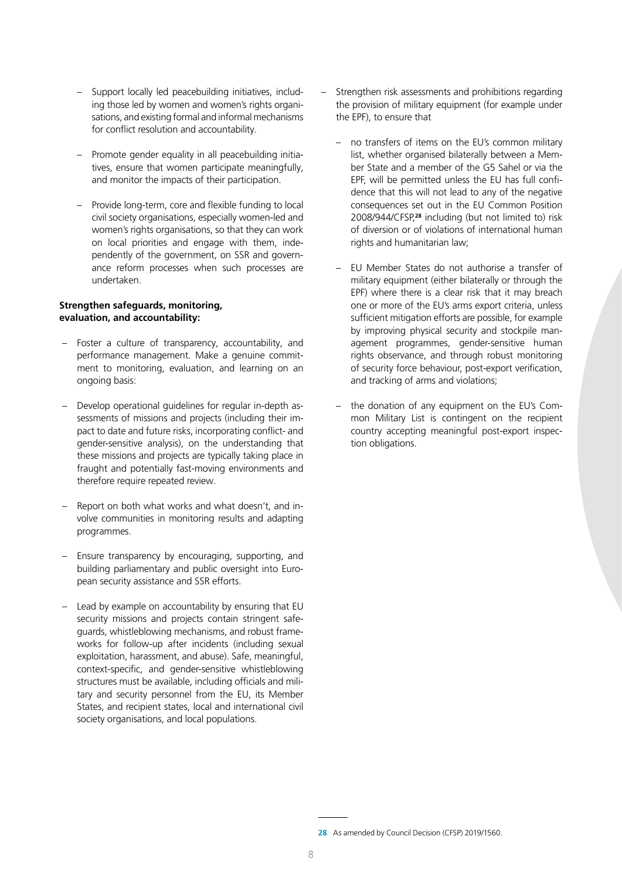- Support locally led peacebuilding initiatives, including those led by women and women's rights organisations, and existing formal and informal mechanisms for conflict resolution and accountability.
- Promote gender equality in all peacebuilding initiatives, ensure that women participate meaningfully, and monitor the impacts of their participation.
- Provide long-term, core and flexible funding to local civil society organisations, especially women-led and women's rights organisations, so that they can work on local priorities and engage with them, independently of the government, on SSR and governance reform processes when such processes are undertaken.

#### **Strengthen safeguards, monitoring, evaluation, and accountability:**

- Foster a culture of transparency, accountability, and performance management. Make a genuine commitment to monitoring, evaluation, and learning on an ongoing basis:
- Develop operational guidelines for regular in-depth assessments of missions and projects (including their impact to date and future risks, incorporating conflict- and gender-sensitive analysis), on the understanding that these missions and projects are typically taking place in fraught and potentially fast-moving environments and therefore require repeated review.
- Report on both what works and what doesn't, and involve communities in monitoring results and adapting programmes.
- Ensure transparency by encouraging, supporting, and building parliamentary and public oversight into European security assistance and SSR efforts.
- Lead by example on accountability by ensuring that EU security missions and projects contain stringent safeguards, whistleblowing mechanisms, and robust frameworks for follow-up after incidents (including sexual exploitation, harassment, and abuse). Safe, meaningful, context-specific, and gender-sensitive whistleblowing structures must be available, including officials and military and security personnel from the EU, its Member States, and recipient states, local and international civil society organisations, and local populations.
- Strengthen risk assessments and prohibitions regarding the provision of military equipment (for example under the EPF), to ensure that
	- no transfers of items on the EU's common military list, whether organised bilaterally between a Member State and a member of the G5 Sahel or via the EPF, will be permitted unless the EU has full confidence that this will not lead to any of the negative consequences set out in the EU Common Position 2008/944/CFSP,**<sup>28</sup>** including (but not limited to) risk of diversion or of violations of international human rights and humanitarian law;
	- EU Member States do not authorise a transfer of military equipment (either bilaterally or through the EPF) where there is a clear risk that it may breach one or more of the EU's arms export criteria, unless sufficient mitigation efforts are possible, for example by improving physical security and stockpile management programmes, gender-sensitive human rights observance, and through robust monitoring of security force behaviour, post-export verification, and tracking of arms and violations;
	- the donation of any equipment on the EU's Common Military List is contingent on the recipient country accepting meaningful post-export inspection obligations.

**<sup>28</sup>** As amended by Council Decision (CFSP) 2019/1560.